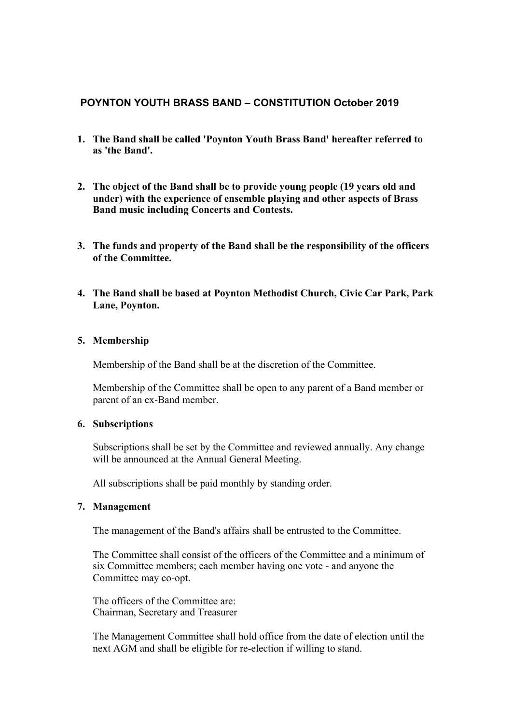# **POYNTON YOUTH BRASS BAND – CONSTITUTION October 2019**

- **1. The Band shall be called 'Poynton Youth Brass Band' hereafter referred to as 'the Band'.**
- **2. The object of the Band shall be to provide young people (19 years old and under) with the experience of ensemble playing and other aspects of Brass Band music including Concerts and Contests.**
- **3. The funds and property of the Band shall be the responsibility of the officers of the Committee.**
- **4. The Band shall be based at Poynton Methodist Church, Civic Car Park, Park Lane, Poynton.**

## **5. Membership**

Membership of the Band shall be at the discretion of the Committee.

Membership of the Committee shall be open to any parent of a Band member or parent of an ex-Band member.

## **6. Subscriptions**

Subscriptions shall be set by the Committee and reviewed annually. Any change will be announced at the Annual General Meeting.

All subscriptions shall be paid monthly by standing order.

## **7. Management**

The management of the Band's affairs shall be entrusted to the Committee.

The Committee shall consist of the officers of the Committee and a minimum of six Committee members; each member having one vote - and anyone the Committee may co-opt.

The officers of the Committee are: Chairman, Secretary and Treasurer

The Management Committee shall hold office from the date of election until the next AGM and shall be eligible for re-election if willing to stand.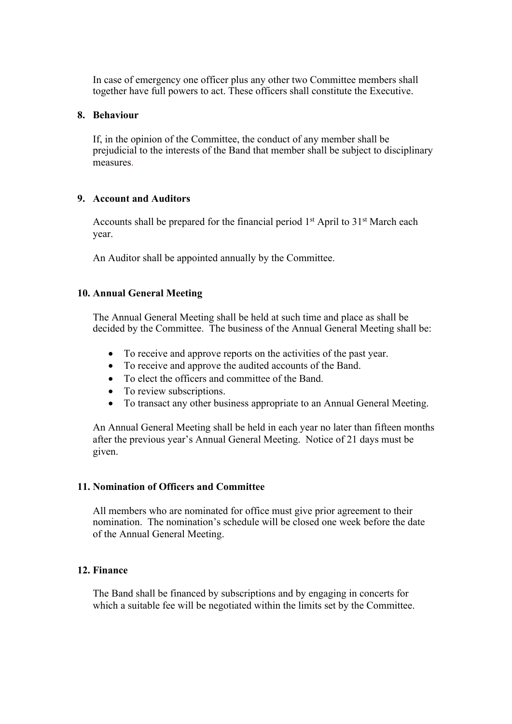In case of emergency one officer plus any other two Committee members shall together have full powers to act. These officers shall constitute the Executive.

#### **8. Behaviour**

If, in the opinion of the Committee, the conduct of any member shall be prejudicial to the interests of the Band that member shall be subject to disciplinary measures.

#### **9. Account and Auditors**

Accounts shall be prepared for the financial period 1<sup>st</sup> April to 31<sup>st</sup> March each year.

An Auditor shall be appointed annually by the Committee.

## **10. Annual General Meeting**

The Annual General Meeting shall be held at such time and place as shall be decided by the Committee. The business of the Annual General Meeting shall be:

- To receive and approve reports on the activities of the past year.
- To receive and approve the audited accounts of the Band.
- To elect the officers and committee of the Band.
- To review subscriptions.
- To transact any other business appropriate to an Annual General Meeting.

An Annual General Meeting shall be held in each year no later than fifteen months after the previous year's Annual General Meeting. Notice of 21 days must be given.

#### **11. Nomination of Officers and Committee**

All members who are nominated for office must give prior agreement to their nomination. The nomination's schedule will be closed one week before the date of the Annual General Meeting.

## **12. Finance**

The Band shall be financed by subscriptions and by engaging in concerts for which a suitable fee will be negotiated within the limits set by the Committee.